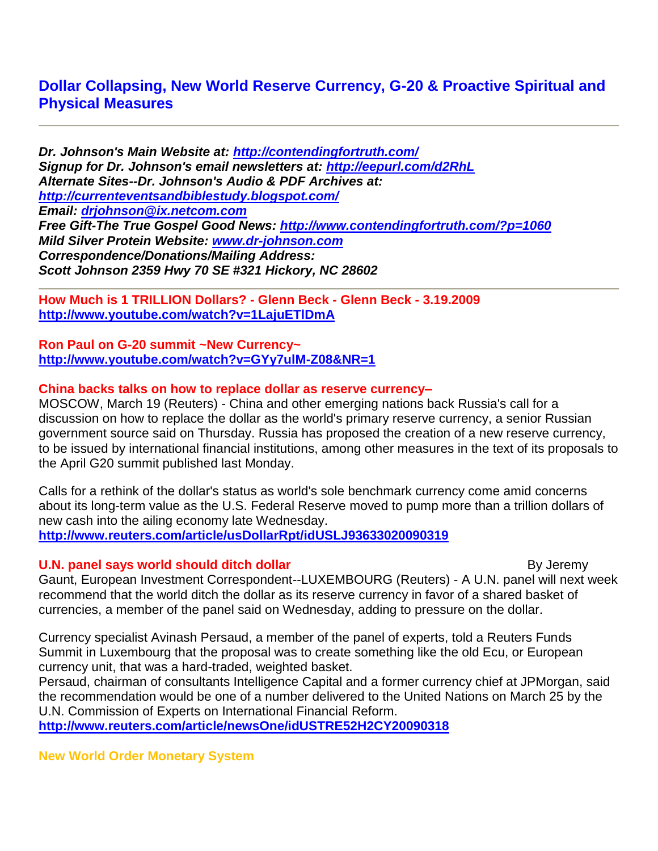# **Dollar Collapsing, New World Reserve Currency, G-20 & Proactive Spiritual and Physical Measures**

*Dr. Johnson's Main Website at:<http://contendingfortruth.com/> Signup for Dr. Johnson's email newsletters at:<http://eepurl.com/d2RhL> Alternate Sites--Dr. Johnson's Audio & PDF Archives at: <http://currenteventsandbiblestudy.blogspot.com/> Email: [drjohnson@ix.netcom.com](mailto:drjohnson@ix.netcom.com) Free Gift-The True Gospel Good News:<http://www.contendingfortruth.com/?p=1060> Mild Silver Protein Website: [www.dr-johnson.com](http://www.dr-johnson.com/) Correspondence/Donations/Mailing Address: Scott Johnson 2359 Hwy 70 SE #321 Hickory, NC 28602*

**How Much is 1 TRILLION Dollars? - Glenn Beck - Glenn Beck - 3.19.2009 <http://www.youtube.com/watch?v=1LajuETlDmA>**

**Ron Paul on G-20 summit ~New Currency~ <http://www.youtube.com/watch?v=GYy7ulM-Z08&NR=1>**

## **China backs talks on how to replace dollar as reserve currency–**

MOSCOW, March 19 (Reuters) - China and other emerging nations back Russia's call for a discussion on how to replace the dollar as the world's primary reserve currency, a senior Russian government source said on Thursday. Russia has proposed the creation of a new reserve currency, to be issued by international financial institutions, among other measures in the text of its proposals to the April G20 summit published last Monday.

Calls for a rethink of the dollar's status as world's sole benchmark currency come amid concerns about its long-term value as the U.S. Federal Reserve moved to pump more than a trillion dollars of new cash into the ailing economy late Wednesday. **<http://www.reuters.com/article/usDollarRpt/idUSLJ93633020090319>**

## **U.N. panel says world should ditch dollar By Jeremy By Jeremy**

Gaunt, European Investment Correspondent--LUXEMBOURG (Reuters) - A U.N. panel will next week recommend that the world ditch the dollar as its reserve currency in favor of a shared basket of currencies, a member of the panel said on Wednesday, adding to pressure on the dollar.

Currency specialist Avinash Persaud, a member of the panel of experts, told a Reuters Funds Summit in Luxembourg that the proposal was to create something like the old Ecu, or European currency unit, that was a hard-traded, weighted basket.

Persaud, chairman of consultants Intelligence Capital and a former currency chief at JPMorgan, said the recommendation would be one of a number delivered to the United Nations on March 25 by the U.N. Commission of Experts on International Financial Reform.

**<http://www.reuters.com/article/newsOne/idUSTRE52H2CY20090318>**

**New World Order Monetary System**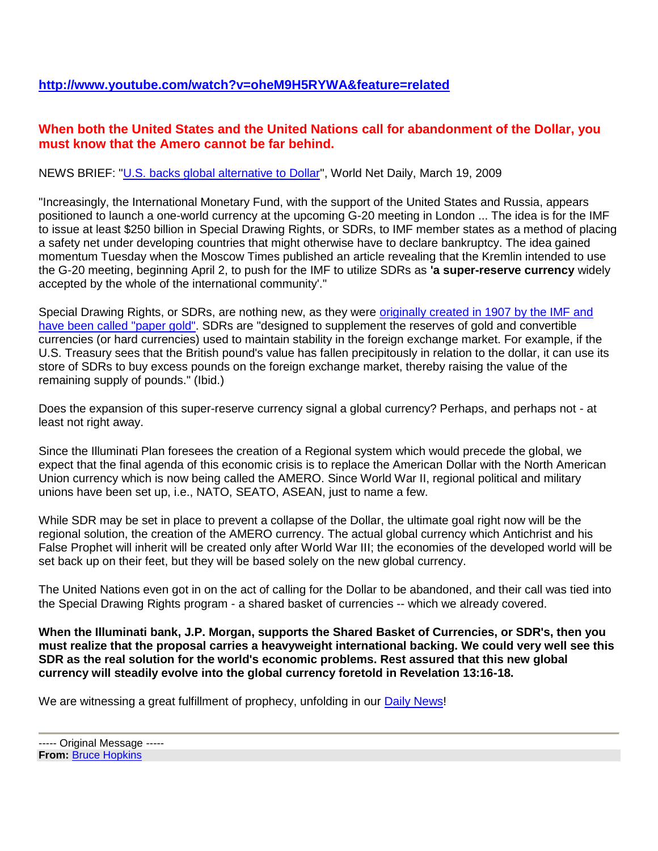# **When both the United States and the United Nations call for abandonment of the Dollar, you must know that the Amero cannot be far behind.**

## NEWS BRIEF: "U.S. backs global alternative to Dollar", World Net Daily, March 19, 2009

"Increasingly, the International Monetary Fund, with the support of the United States and Russia, appears positioned to launch a one-world currency at the upcoming G-20 meeting in London ... The idea is for the IMF to issue at least \$250 billion in Special Drawing Rights, or SDRs, to IMF member states as a method of placing a safety net under developing countries that might otherwise have to declare bankruptcy. The idea gained momentum Tuesday when the Moscow Times published an article revealing that the Kremlin intended to use the G-20 meeting, beginning April 2, to push for the IMF to utilize SDRs as **'a super-reserve currency** widely accepted by the whole of the international community'."

Special Drawing Rights, or SDRs, are nothing new, as they were originally created in 1907 by the IMF and have been called "paper gold". SDRs are "designed to supplement the reserves of gold and convertible currencies (or hard currencies) used to maintain stability in the foreign exchange market. For example, if the U.S. Treasury sees that the British pound's value has fallen precipitously in relation to the dollar, it can use its store of SDRs to buy excess pounds on the foreign exchange market, thereby raising the value of the remaining supply of pounds." (Ibid.)

Does the expansion of this super-reserve currency signal a global currency? Perhaps, and perhaps not - at least not right away.

Since the Illuminati Plan foresees the creation of a Regional system which would precede the global, we expect that the final agenda of this economic crisis is to replace the American Dollar with the North American Union currency which is now being called the AMERO. Since World War II, regional political and military unions have been set up, i.e., NATO, SEATO, ASEAN, just to name a few.

While SDR may be set in place to prevent a collapse of the Dollar, the ultimate goal right now will be the regional solution, the creation of the AMERO currency. The actual global currency which Antichrist and his False Prophet will inherit will be created only after World War III; the economies of the developed world will be set back up on their feet, but they will be based solely on the new global currency.

The United Nations even got in on the act of calling for the Dollar to be abandoned, and their call was tied into the Special Drawing Rights program - a shared basket of currencies -- which we already covered.

**When the Illuminati bank, J.P. Morgan, supports the Shared Basket of Currencies, or SDR's, then you must realize that the proposal carries a heavyweight international backing. We could very well see this SDR as the real solution for the world's economic problems. Rest assured that this new global currency will steadily evolve into the global currency foretold in Revelation 13:16-18.**

We are witnessing a great fulfillment of prophecy, unfolding in our Daily News!

<sup>-----</sup> Original Message ----- **From:** Bruce Hopkins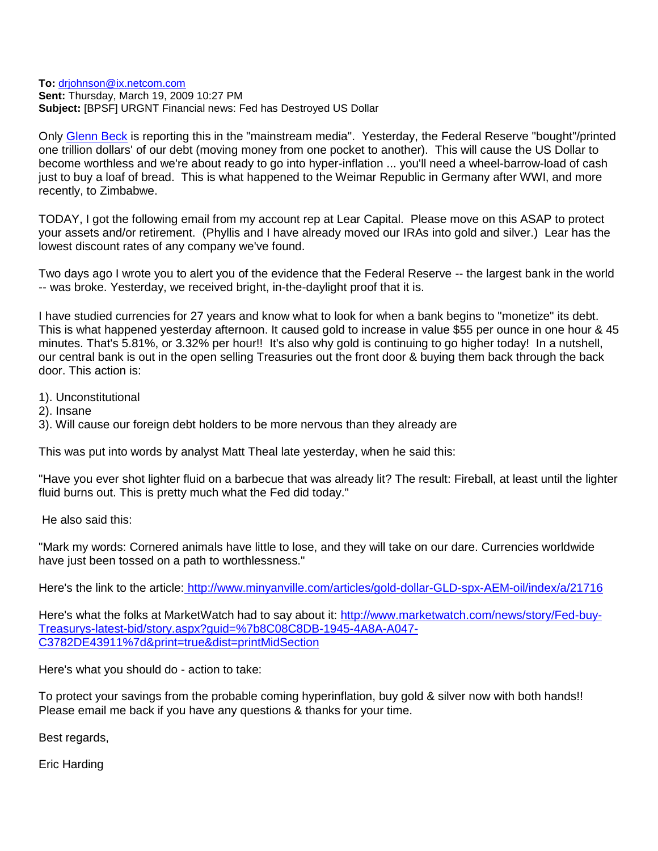**To:** drjohnson@ix.netcom.com **Sent:** Thursday, March 19, 2009 10:27 PM **Subject:** [BPSF] URGNT Financial news: Fed has Destroyed US Dollar

Only Glenn Beck is reporting this in the "mainstream media". Yesterday, the Federal Reserve "bought"/printed one trillion dollars' of our debt (moving money from one pocket to another). This will cause the US Dollar to become worthless and we're about ready to go into hyper-inflation ... you'll need a wheel-barrow-load of cash just to buy a loaf of bread. This is what happened to the Weimar Republic in Germany after WWI, and more recently, to Zimbabwe.

TODAY, I got the following email from my account rep at Lear Capital. Please move on this ASAP to protect your assets and/or retirement. (Phyllis and I have already moved our IRAs into gold and silver.) Lear has the lowest discount rates of any company we've found.

Two days ago I wrote you to alert you of the evidence that the Federal Reserve -- the largest bank in the world -- was broke. Yesterday, we received bright, in-the-daylight proof that it is.

I have studied currencies for 27 years and know what to look for when a bank begins to "monetize" its debt. This is what happened yesterday afternoon. It caused gold to increase in value \$55 per ounce in one hour & 45 minutes. That's 5.81%, or 3.32% per hour!! It's also why gold is continuing to go higher today! In a nutshell, our central bank is out in the open selling Treasuries out the front door & buying them back through the back door. This action is:

1). Unconstitutional

2). Insane

3). Will cause our foreign debt holders to be more nervous than they already are

This was put into words by analyst Matt Theal late yesterday, when he said this:

"Have you ever shot lighter fluid on a barbecue that was already lit? The result: Fireball, at least until the lighter fluid burns out. This is pretty much what the Fed did today."

He also said this:

"Mark my words: Cornered animals have little to lose, and they will take on our dare. Currencies worldwide have just been tossed on a path to worthlessness."

Here's the link to the article: http://www.minyanville.com/articles/gold-dollar-GLD-spx-AEM-oil/index/a/21716

Here's what the folks at MarketWatch had to say about it: http://www.marketwatch.com/news/story/Fed-buy-Treasurys-latest-bid/story.aspx?guid=%7b8C08C8DB-1945-4A8A-A047- C3782DE43911%7d&print=true&dist=printMidSection

Here's what you should do - action to take:

To protect your savings from the probable coming hyperinflation, buy gold & silver now with both hands!! Please email me back if you have any questions & thanks for your time.

Best regards,

Eric Harding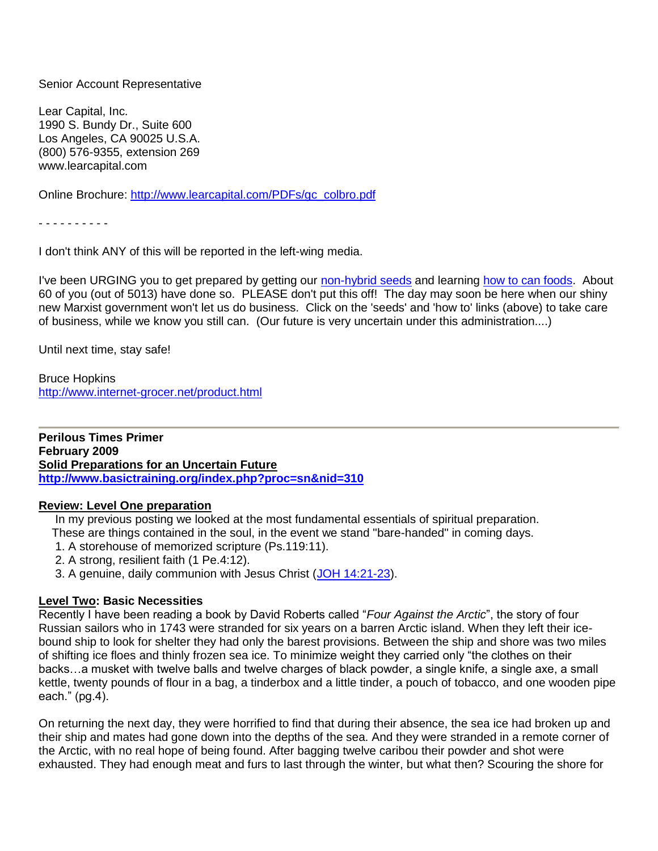#### Senior Account Representative

Lear Capital, Inc. 1990 S. Bundy Dr., Suite 600 Los Angeles, CA 90025 U.S.A. (800) 576-9355, extension 269 www.learcapital.com

Online Brochure: http://www.learcapital.com/PDFs/gc\_colbro.pdf

- - - - - - - - - -

I don't think ANY of this will be reported in the left-wing media.

I've been URGING you to get prepared by getting our non-hybrid seeds and learning how to can foods. About 60 of you (out of 5013) have done so. PLEASE don't put this off! The day may soon be here when our shiny new Marxist government won't let us do business. Click on the 'seeds' and 'how to' links (above) to take care of business, while we know you still can. (Our future is very uncertain under this administration....)

Until next time, stay safe!

Bruce Hopkins http://www.internet-grocer.net/product.html

**Perilous Times Primer February 2009 Solid Preparations for an Uncertain Future <http://www.basictraining.org/index.php?proc=sn&nid=310>**

#### **Review: Level One preparation**

In my previous posting we looked at the most fundamental essentials of spiritual preparation. These are things contained in the soul, in the event we stand "bare-handed" in coming days.

- 1. A storehouse of memorized scripture (Ps.119:11).
- 2. A strong, resilient faith (1 Pe.4:12).
- 3. A genuine, daily communion with Jesus Christ (JOH 14:21-23).

#### **Level Two: Basic Necessities**

Recently I have been reading a book by David Roberts called "*Four Against the Arctic*", the story of four Russian sailors who in 1743 were stranded for six years on a barren Arctic island. When they left their icebound ship to look for shelter they had only the barest provisions. Between the ship and shore was two miles of shifting ice floes and thinly frozen sea ice. To minimize weight they carried only "the clothes on their backs…a musket with twelve balls and twelve charges of black powder, a single knife, a single axe, a small kettle, twenty pounds of flour in a bag, a tinderbox and a little tinder, a pouch of tobacco, and one wooden pipe each." (pg.4).

On returning the next day, they were horrified to find that during their absence, the sea ice had broken up and their ship and mates had gone down into the depths of the sea. And they were stranded in a remote corner of the Arctic, with no real hope of being found. After bagging twelve caribou their powder and shot were exhausted. They had enough meat and furs to last through the winter, but what then? Scouring the shore for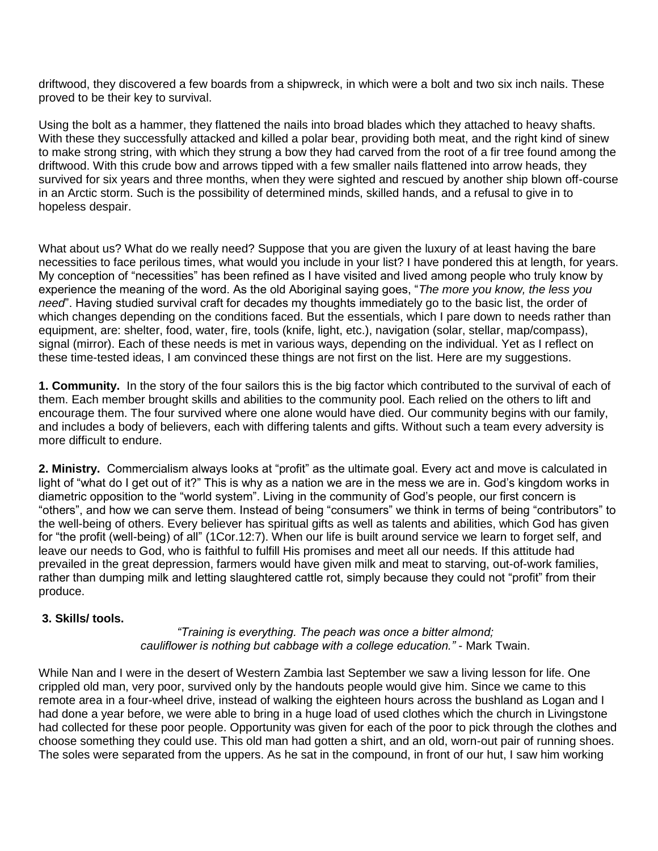driftwood, they discovered a few boards from a shipwreck, in which were a bolt and two six inch nails. These proved to be their key to survival.

Using the bolt as a hammer, they flattened the nails into broad blades which they attached to heavy shafts. With these they successfully attacked and killed a polar bear, providing both meat, and the right kind of sinew to make strong string, with which they strung a bow they had carved from the root of a fir tree found among the driftwood. With this crude bow and arrows tipped with a few smaller nails flattened into arrow heads, they survived for six years and three months, when they were sighted and rescued by another ship blown off-course in an Arctic storm. Such is the possibility of determined minds, skilled hands, and a refusal to give in to hopeless despair.

What about us? What do we really need? Suppose that you are given the luxury of at least having the bare necessities to face perilous times, what would you include in your list? I have pondered this at length, for years. My conception of "necessities" has been refined as I have visited and lived among people who truly know by experience the meaning of the word. As the old Aboriginal saying goes, "*The more you know, the less you need*". Having studied survival craft for decades my thoughts immediately go to the basic list, the order of which changes depending on the conditions faced. But the essentials, which I pare down to needs rather than equipment, are: shelter, food, water, fire, tools (knife, light, etc.), navigation (solar, stellar, map/compass), signal (mirror). Each of these needs is met in various ways, depending on the individual. Yet as I reflect on these time-tested ideas, I am convinced these things are not first on the list. Here are my suggestions.

**1. Community.** In the story of the four sailors this is the big factor which contributed to the survival of each of them. Each member brought skills and abilities to the community pool. Each relied on the others to lift and encourage them. The four survived where one alone would have died. Our community begins with our family, and includes a body of believers, each with differing talents and gifts. Without such a team every adversity is more difficult to endure.

**2. Ministry.** Commercialism always looks at "profit" as the ultimate goal. Every act and move is calculated in light of "what do I get out of it?" This is why as a nation we are in the mess we are in. God's kingdom works in diametric opposition to the "world system". Living in the community of God's people, our first concern is "others", and how we can serve them. Instead of being "consumers" we think in terms of being "contributors" to the well-being of others. Every believer has spiritual gifts as well as talents and abilities, which God has given for "the profit (well-being) of all" (1Cor.12:7). When our life is built around service we learn to forget self, and leave our needs to God, who is faithful to fulfill His promises and meet all our needs. If this attitude had prevailed in the great depression, farmers would have given milk and meat to starving, out-of-work families, rather than dumping milk and letting slaughtered cattle rot, simply because they could not "profit" from their produce.

## **3. Skills/ tools.**

 *"Training is everything. The peach was once a bitter almond; cauliflower is nothing but cabbage with a college education."* - Mark Twain.

While Nan and I were in the desert of Western Zambia last September we saw a living lesson for life. One crippled old man, very poor, survived only by the handouts people would give him. Since we came to this remote area in a four-wheel drive, instead of walking the eighteen hours across the bushland as Logan and I had done a year before, we were able to bring in a huge load of used clothes which the church in Livingstone had collected for these poor people. Opportunity was given for each of the poor to pick through the clothes and choose something they could use. This old man had gotten a shirt, and an old, worn-out pair of running shoes. The soles were separated from the uppers. As he sat in the compound, in front of our hut, I saw him working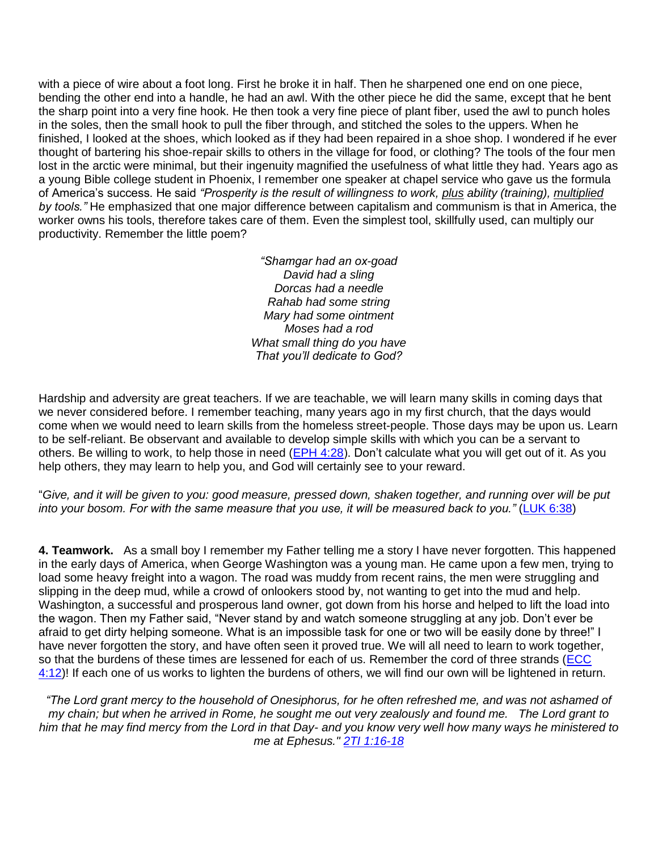with a piece of wire about a foot long. First he broke it in half. Then he sharpened one end on one piece, bending the other end into a handle, he had an awl. With the other piece he did the same, except that he bent the sharp point into a very fine hook. He then took a very fine piece of plant fiber, used the awl to punch holes in the soles, then the small hook to pull the fiber through, and stitched the soles to the uppers. When he finished, I looked at the shoes, which looked as if they had been repaired in a shoe shop. I wondered if he ever thought of bartering his shoe-repair skills to others in the village for food, or clothing? The tools of the four men lost in the arctic were minimal, but their ingenuity magnified the usefulness of what little they had. Years ago as a young Bible college student in Phoenix, I remember one speaker at chapel service who gave us the formula of America's success. He said *"Prosperity is the result of willingness to work, plus ability (training), multiplied by tools."* He emphasized that one major difference between capitalism and communism is that in America, the worker owns his tools, therefore takes care of them. Even the simplest tool, skillfully used, can multiply our productivity. Remember the little poem?

> *"Shamgar had an ox-goad David had a sling Dorcas had a needle Rahab had some string Mary had some ointment Moses had a rod What small thing do you have That you'll dedicate to God?*

Hardship and adversity are great teachers. If we are teachable, we will learn many skills in coming days that we never considered before. I remember teaching, many years ago in my first church, that the days would come when we would need to learn skills from the homeless street-people. Those days may be upon us. Learn to be self-reliant. Be observant and available to develop simple skills with which you can be a servant to others. Be willing to work, to help those in need (EPH 4:28). Don't calculate what you will get out of it. As you help others, they may learn to help you, and God will certainly see to your reward.

"*Give, and it will be given to you: good measure, pressed down, shaken together, and running over will be put into your bosom. For with the same measure that you use, it will be measured back to you."* (LUK 6:38)

**4. Teamwork.** As a small boy I remember my Father telling me a story I have never forgotten. This happened in the early days of America, when George Washington was a young man. He came upon a few men, trying to load some heavy freight into a wagon. The road was muddy from recent rains, the men were struggling and slipping in the deep mud, while a crowd of onlookers stood by, not wanting to get into the mud and help. Washington, a successful and prosperous land owner, got down from his horse and helped to lift the load into the wagon. Then my Father said, "Never stand by and watch someone struggling at any job. Don't ever be afraid to get dirty helping someone. What is an impossible task for one or two will be easily done by three!" I have never forgotten the story, and have often seen it proved true. We will all need to learn to work together, so that the burdens of these times are lessened for each of us. Remember the cord of three strands (ECC  $4:12$ )! If each one of us works to lighten the burdens of others, we will find our own will be lightened in return.

*"The Lord grant mercy to the household of Onesiphorus, for he often refreshed me, and was not ashamed of my chain; but when he arrived in Rome, he sought me out very zealously and found me. The Lord grant to him that he may find mercy from the Lord in that Day- and you know very well how many ways he ministered to me at Ephesus." 2TI 1:16-18*